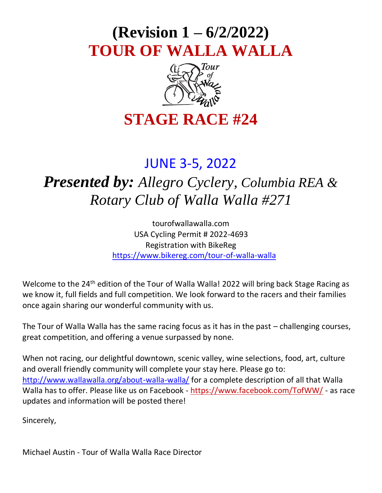# **(Revision 1 – 6/2/2022) TOUR OF WALLA WALLA**



# **STAGE RACE #24**

# JUNE 3-5, 2022

# *Presented by: Allegro Cyclery, Columbia REA & Rotary Club of Walla Walla #271*

tourofwallawalla.com USA Cycling Permit # 2022-4693 Registration with BikeReg <https://www.bikereg.com/tour-of-walla-walla>

Welcome to the 24<sup>th</sup> edition of the Tour of Walla Walla! 2022 will bring back Stage Racing as we know it, full fields and full competition. We look forward to the racers and their families once again sharing our wonderful community with us.

The Tour of Walla Walla has the same racing focus as it has in the past – challenging courses, great competition, and offering a venue surpassed by none.

When not racing, our delightful downtown, scenic valley, wine selections, food, art, culture and overall friendly community will complete your stay here. Please go to: <http://www.wallawalla.org/about-walla-walla/> for a complete description of all that Walla Walla has to offer. Please like us on Facebook - <https://www.facebook.com/TofWW/> - as race updates and information will be posted there!

Sincerely,

Michael Austin - Tour of Walla Walla Race Director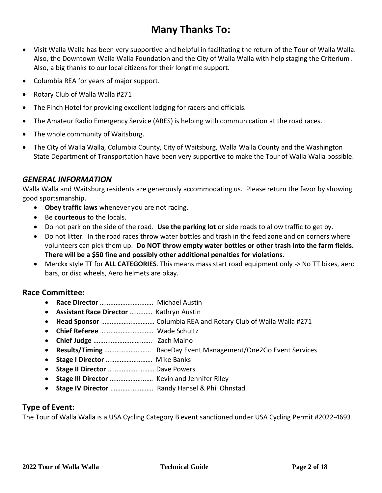## **Many Thanks To:**

- Visit Walla Walla has been very supportive and helpful in facilitating the return of the Tour of Walla Walla. Also, the Downtown Walla Walla Foundation and the City of Walla Walla with help staging the Criterium. Also, a big thanks to our local citizens for their longtime support.
- Columbia REA for years of major support.
- Rotary Club of Walla Walla #271
- The Finch Hotel for providing excellent lodging for racers and officials.
- The Amateur Radio Emergency Service (ARES) is helping with communication at the road races.
- The whole community of Waitsburg.
- The City of Walla Walla, Columbia County, City of Waitsburg, Walla Walla County and the Washington State Department of Transportation have been very supportive to make the Tour of Walla Walla possible.

#### *GENERAL INFORMATION*

Walla Walla and Waitsburg residents are generously accommodating us. Please return the favor by showing good sportsmanship.

- **Obey traffic laws** whenever you are not racing.
- Be **courteous** to the locals.
- Do not park on the side of the road. **Use the parking lot** or side roads to allow traffic to get by.
- Do not litter. In the road races throw water bottles and trash in the feed zone and on corners where volunteers can pick them up. **Do NOT throw empty water bottles or other trash into the farm fields. There will be a \$50 fine and possibly other additional penalties for violations.**
- Merckx style TT for **ALL CATEGORIES**. This means mass start road equipment only -> No TT bikes, aero bars, or disc wheels, Aero helmets are okay.

#### **Race Committee:**

- **Race Director** …………………………. Michael Austin
- **Assistant Race Director** …………. Kathryn Austin
- **Head Sponsor** …………………………. Columbia REA and Rotary Club of Walla Walla #271
- **Chief Referee** …………………………. Wade Schultz
- **Chief Judge** ……………………………. Zach Maino
- **Results/Timing** ……………………… RaceDay Event Management/One2Go Event Services
- **Stage I Director** ……………………… Mike Banks
- **Stage II Director** ……………………… Dave Powers
- **Stage III Director** ……………………. Kevin and Jennifer Riley
- **Stage IV Director** ……………………. Randy Hansel & Phil Ohnstad

#### **Type of Event:**

The Tour of Walla Walla is a USA Cycling Category B event sanctioned under USA Cycling Permit #2022-4693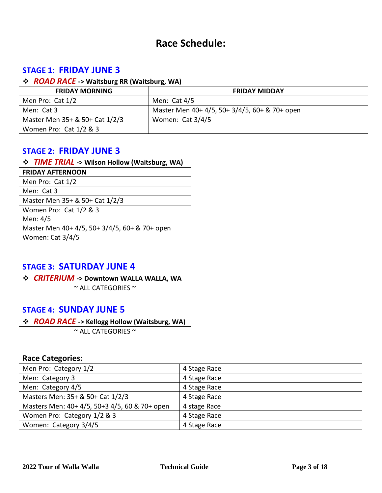### **Race Schedule:**

### **STAGE 1: FRIDAY JUNE 3**

#### ❖ *ROAD RACE* **-> Waitsburg RR (Waitsburg, WA)**

| <b>FRIDAY MORNING</b>          | <b>FRIDAY MIDDAY</b>                          |
|--------------------------------|-----------------------------------------------|
| Men Pro: Cat 1/2               | Men: $Cat 4/5$                                |
| Men: Cat 3                     | Master Men 40+ 4/5, 50+ 3/4/5, 60+ & 70+ open |
| Master Men 35+ & 50+ Cat 1/2/3 | Women: Cat 3/4/5                              |
| Women Pro: Cat 1/2 & 3         |                                               |

### **STAGE 2: FRIDAY JUNE 3**

#### ❖ *TIME TRIAL* **-> Wilson Hollow (Waitsburg, WA)**

| <b>FRIDAY AFTERNOON</b>                       |
|-----------------------------------------------|
| Men Pro: Cat 1/2                              |
| Men: Cat 3                                    |
| Master Men 35+ & 50+ Cat 1/2/3                |
| Women Pro: Cat 1/2 & 3                        |
| Men: 4/5                                      |
| Master Men 40+ 4/5, 50+ 3/4/5, 60+ & 70+ open |
| Women: Cat 3/4/5                              |

#### **STAGE 3: SATURDAY JUNE 4**

#### ❖ *CRITERIUM* **-> Downtown WALLA WALLA, WA**

 $\sim$  ALL CATEGORIES  $\sim$ 

#### **STAGE 4: SUNDAY JUNE 5**

#### ❖ *ROAD RACE* **-> Kellogg Hollow (Waitsburg, WA)**

 $\sim$  ALL CATEGORIES  $\sim$ 

#### **Race Categories:**

| Men Pro: Category 1/2                         | 4 Stage Race |
|-----------------------------------------------|--------------|
| Men: Category 3                               | 4 Stage Race |
| Men: Category 4/5                             | 4 Stage Race |
| Masters Men: 35+ & 50+ Cat 1/2/3              | 4 Stage Race |
| Masters Men: 40+ 4/5, 50+3 4/5, 60 & 70+ open | 4 stage Race |
| Women Pro: Category 1/2 & 3                   | 4 Stage Race |
| Women: Category 3/4/5                         | 4 Stage Race |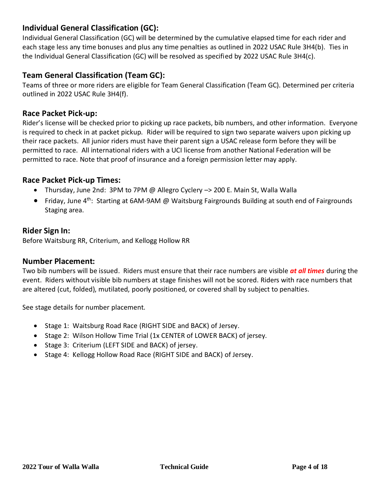### **Individual General Classification (GC):**

Individual General Classification (GC) will be determined by the cumulative elapsed time for each rider and each stage less any time bonuses and plus any time penalties as outlined in 2022 USAC Rule 3H4(b). Ties in the Individual General Classification (GC) will be resolved as specified by 2022 USAC Rule 3H4(c).

#### **Team General Classification (Team GC):**

Teams of three or more riders are eligible for Team General Classification (Team GC). Determined per criteria outlined in 2022 USAC Rule 3H4(f).

#### **Race Packet Pick-up:**

Rider's license will be checked prior to picking up race packets, bib numbers, and other information. Everyone is required to check in at packet pickup. Rider will be required to sign two separate waivers upon picking up their race packets. All junior riders must have their parent sign a USAC release form before they will be permitted to race. All international riders with a UCI license from another National Federation will be permitted to race. Note that proof of insurance and a foreign permission letter may apply.

#### **Race Packet Pick-up Times:**

- Thursday, June 2nd: 3PM to 7PM @ Allegro Cyclery –> 200 E. Main St, Walla Walla
- Friday, June 4<sup>th</sup>: Starting at 6AM-9AM @ Waitsburg Fairgrounds Building at south end of Fairgrounds Staging area.

#### **Rider Sign In:**

Before Waitsburg RR, Criterium, and Kellogg Hollow RR

#### **Number Placement:**

Two bib numbers will be issued. Riders must ensure that their race numbers are visible *at all times* during the event. Riders without visible bib numbers at stage finishes will not be scored. Riders with race numbers that are altered (cut, folded), mutilated, poorly positioned, or covered shall by subject to penalties.

See stage details for number placement.

- Stage 1: Waitsburg Road Race (RIGHT SIDE and BACK) of Jersey.
- Stage 2: Wilson Hollow Time Trial (1x CENTER of LOWER BACK) of jersey.
- Stage 3: Criterium (LEFT SIDE and BACK) of jersey.
- Stage 4: Kellogg Hollow Road Race (RIGHT SIDE and BACK) of Jersey.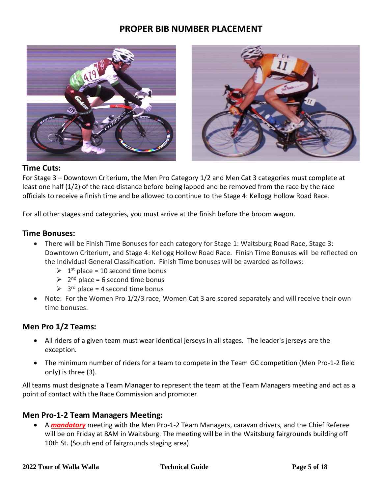### **PROPER BIB NUMBER PLACEMENT**





#### **Time Cuts:**

For Stage 3 – Downtown Criterium, the Men Pro Category 1/2 and Men Cat 3 categories must complete at least one half (1/2) of the race distance before being lapped and be removed from the race by the race officials to receive a finish time and be allowed to continue to the Stage 4: Kellogg Hollow Road Race.

For all other stages and categories, you must arrive at the finish before the broom wagon.

#### **Time Bonuses:**

- There will be Finish Time Bonuses for each category for Stage 1: Waitsburg Road Race, Stage 3: Downtown Criterium, and Stage 4: Kellogg Hollow Road Race. Finish Time Bonuses will be reflected on the Individual General Classification. Finish Time bonuses will be awarded as follows:
	- $\geq 1$ <sup>st</sup> place = 10 second time bonus
	- $\geq 2^{nd}$  place = 6 second time bonus
	- $\geq 3^{rd}$  place = 4 second time bonus
- Note: For the Women Pro 1/2/3 race, Women Cat 3 are scored separately and will receive their own time bonuses.

#### **Men Pro 1/2 Teams:**

- All riders of a given team must wear identical jerseys in all stages. The leader's jerseys are the exception.
- The minimum number of riders for a team to compete in the Team GC competition (Men Pro-1-2 field only) is three (3).

All teams must designate a Team Manager to represent the team at the Team Managers meeting and act as a point of contact with the Race Commission and promoter

#### **Men Pro-1-2 Team Managers Meeting:**

• A *mandatory* meeting with the Men Pro-1-2 Team Managers, caravan drivers, and the Chief Referee will be on Friday at 8AM in Waitsburg. The meeting will be in the Waitsburg fairgrounds building off 10th St. (South end of fairgrounds staging area)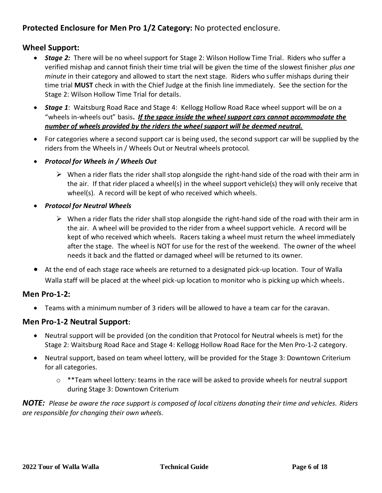### **Protected Enclosure for Men Pro 1/2 Category:** No protected enclosure.

#### **Wheel Support:**

- *Stage 2:* There will be no wheel support for Stage 2: Wilson Hollow Time Trial. Riders who suffer a verified mishap and cannot finish their time trial will be given the time of the slowest finisher *plus one minute* in their category and allowed to start the next stage. Riders who suffer mishaps during their time trial **MUST** check in with the Chief Judge at the finish line immediately. See the section for the Stage 2: Wilson Hollow Time Trial for details.
- *Stage 1*: Waitsburg Road Race and Stage 4: Kellogg Hollow Road Race wheel support will be on a "wheels in-wheels out" basis**.** *If the space inside the wheel support cars cannot accommodate the number of wheels provided by the riders the wheel support will be deemed neutral.*
- For categories where a second support car is being used, the second support car will be supplied by the riders from the Wheels in / Wheels Out or Neutral wheels protocol.
- *Protocol for Wheels in / Wheels Out*
	- $\triangleright$  When a rider flats the rider shall stop alongside the right-hand side of the road with their arm in the air. If that rider placed a wheel(s) in the wheel support vehicle(s) they will only receive that wheel(s). A record will be kept of who received which wheels.
- *Protocol for Neutral Wheels*
	- $\triangleright$  When a rider flats the rider shall stop alongside the right-hand side of the road with their arm in the air. A wheel will be provided to the rider from a wheel support vehicle. A record will be kept of who received which wheels. Racers taking a wheel must return the wheel immediately after the stage. The wheel is NOT for use for the rest of the weekend. The owner of the wheel needs it back and the flatted or damaged wheel will be returned to its owner.
- At the end of each stage race wheels are returned to a designated pick-up location. Tour of Walla Walla staff will be placed at the wheel pick-up location to monitor who is picking up which wheels.

#### **Men Pro-1-2:**

• Teams with a minimum number of 3 riders will be allowed to have a team car for the caravan.

#### **Men Pro-1-2 Neutral Support:**

- Neutral support will be provided (on the condition that Protocol for Neutral wheels is met) for the Stage 2: Waitsburg Road Race and Stage 4: Kellogg Hollow Road Race for the Men Pro-1-2 category.
- Neutral support, based on team wheel lottery, will be provided for the Stage 3: Downtown Criterium for all categories.
	- $\circ$  \*\*Team wheel lottery: teams in the race will be asked to provide wheels for neutral support during Stage 3: Downtown Criterium

*NOTE: Please be aware the race support is composed of local citizens donating their time and vehicles. Riders are responsible for changing their own wheels.*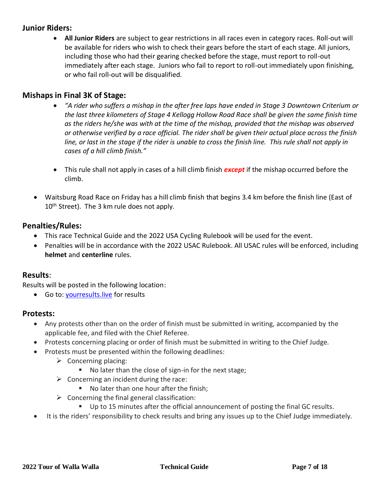#### **Junior Riders:**

• **All Junior Riders** are subject to gear restrictions in all races even in category races. Roll-out will be available for riders who wish to check their gears before the start of each stage. All juniors, including those who had their gearing checked before the stage, must report to roll-out immediately after each stage. Juniors who fail to report to roll-out immediately upon finishing, or who fail roll-out will be disqualified.

#### **Mishaps in Final 3K of Stage:**

- *"A rider who suffers a mishap in the after free laps have ended in Stage 3 Downtown Criterium or the last three kilometers of Stage 4 Kellogg Hollow Road Race shall be given the same finish time as the riders he/she was with at the time of the mishap, provided that the mishap was observed or otherwise verified by a race official. The rider shall be given their actual place across the finish line, or last in the stage if the rider is unable to cross the finish line. This rule shall not apply in cases of a hill climb finish."*
- This rule shall not apply in cases of a hill climb finish *except* if the mishap occurred before the climb.
- Waitsburg Road Race on Friday has a hill climb finish that begins 3.4 km before the finish line (East of 10<sup>th</sup> Street). The 3 km rule does not apply.

#### **Penalties/Rules:**

- This race Technical Guide and the 2022 USA Cycling Rulebook will be used for the event.
- Penalties will be in accordance with the 2022 USAC Rulebook. All USAC rules will be enforced, including **helmet** and **centerline** rules.

#### **Results**:

Results will be posted in the following location:

• Go to: [yourresults.live](file:///C:/Users/Allegro/Downloads/yourresults.live) for results

#### **Protests:**

- Any protests other than on the order of finish must be submitted in writing, accompanied by the applicable fee, and filed with the Chief Referee.
- Protests concerning placing or order of finish must be submitted in writing to the Chief Judge.
- Protests must be presented within the following deadlines:
	- $\triangleright$  Concerning placing:
		- No later than the close of sign-in for the next stage;
	- $\triangleright$  Concerning an incident during the race:
		- No later than one hour after the finish;
	- $\triangleright$  Concerning the final general classification:
		- Up to 15 minutes after the official announcement of posting the final GC results.
- It is the riders' responsibility to check results and bring any issues up to the Chief Judge immediately.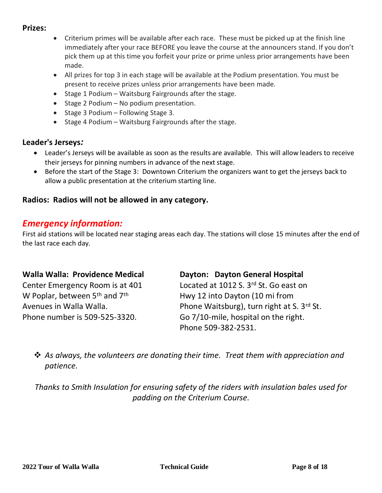#### **Prizes:**

- Criterium primes will be available after each race. These must be picked up at the finish line immediately after your race BEFORE you leave the course at the announcers stand. If you don't pick them up at this time you forfeit your prize or prime unless prior arrangements have been made.
- All prizes for top 3 in each stage will be available at the Podium presentation. You must be present to receive prizes unless prior arrangements have been made.
- Stage 1 Podium Waitsburg Fairgrounds after the stage.
- Stage 2 Podium No podium presentation.
- Stage 3 Podium Following Stage 3.
- Stage 4 Podium Waitsburg Fairgrounds after the stage.

#### **Leader's Jerseys***:*

- Leader's Jerseys will be available as soon as the results are available. This will allow leaders to receive their jerseys for pinning numbers in advance of the next stage.
- Before the start of the Stage 3: Downtown Criterium the organizers want to get the jerseys back to allow a public presentation at the criterium starting line.

### **Radios: Radios will not be allowed in any category.**

### *Emergency information:*

First aid stations will be located near staging areas each day. The stations will close 15 minutes after the end of the last race each day.

#### **Walla Walla: Providence Medical Dayton: Dayton General Hospital**

Center Emergency Room is at 401 Located at 1012 S. 3<sup>rd</sup> St. Go east on W Poplar, between  $5<sup>th</sup>$  and  $7<sup>th</sup>$  Hwy 12 into Dayton (10 mi from

Avenues in Walla Walla. Phone Waitsburg), turn right at S. 3rd St. Phone number is 509-525-3320. Go 7/10-mile, hospital on the right. Phone 509-382-2531.

❖ *As always, the volunteers are donating their time. Treat them with appreciation and patience.*

*Thanks to Smith Insulation for ensuring safety of the riders with insulation bales used for padding on the Criterium Course.*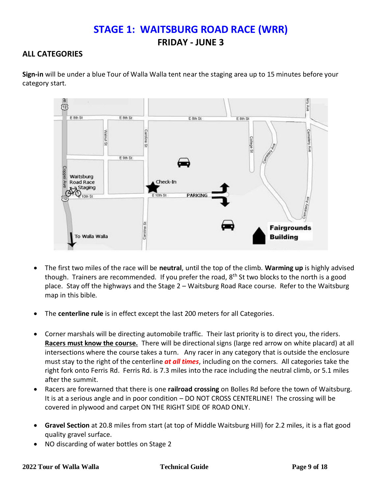## **STAGE 1: WAITSBURG ROAD RACE (WRR) FRIDAY - JUNE 3**

#### **ALL CATEGORIES**

**Sign-in** will be under a blue Tour of Walla Walla tent near the staging area up to 15 minutes before your category start.



- The first two miles of the race will be **neutral**, until the top of the climb. **Warming up** is highly advised though. Trainers are recommended. If you prefer the road, 8<sup>th</sup> St two blocks to the north is a good place. Stay off the highways and the Stage 2 – Waitsburg Road Race course. Refer to the Waitsburg map in this bible.
- The **centerline rule** is in effect except the last 200 meters for all Categories.
- Corner marshals will be directing automobile traffic. Their last priority is to direct you, the riders. **Racers must know the course.** There will be directional signs (large red arrow on white placard) at all intersections where the course takes a turn. Any racer in any category that is outside the enclosure must stay to the right of the centerline *at all times*, including on the corners. All categories take the right fork onto Ferris Rd. Ferris Rd. is 7.3 miles into the race including the neutral climb, or 5.1 miles after the summit.
- Racers are forewarned that there is one **railroad crossing** on Bolles Rd before the town of Waitsburg. It is at a serious angle and in poor condition – DO NOT CROSS CENTERLINE! The crossing will be covered in plywood and carpet ON THE RIGHT SIDE OF ROAD ONLY.
- **Gravel Section** at 20.8 miles from start (at top of Middle Waitsburg Hill) for 2.2 miles, it is a flat good quality gravel surface.
- NO discarding of water bottles on Stage 2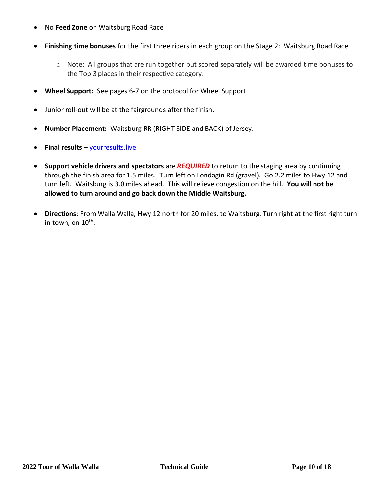- No **Feed Zone** on Waitsburg Road Race
- **Finishing time bonuses** for the first three riders in each group on the Stage 2: Waitsburg Road Race
	- $\circ$  Note: All groups that are run together but scored separately will be awarded time bonuses to the Top 3 places in their respective category.
- **Wheel Support:** See pages 6-7 on the protocol for Wheel Support
- Junior roll-out will be at the fairgrounds after the finish.
- **Number Placement:** Waitsburg RR (RIGHT SIDE and BACK) of Jersey.
- **Final results** [yourresults.live](http://tofww.racedaywebsites.com/)
- **Support vehicle drivers and spectators** are *REQUIRED* to return to the staging area by continuing through the finish area for 1.5 miles. Turn left on Londagin Rd (gravel). Go 2.2 miles to Hwy 12 and turn left. Waitsburg is 3.0 miles ahead. This will relieve congestion on the hill. **You will not be allowed to turn around and go back down the Middle Waitsburg.**
- **Directions**: From Walla Walla, Hwy 12 north for 20 miles, to Waitsburg. Turn right at the first right turn in town, on 10<sup>th</sup>.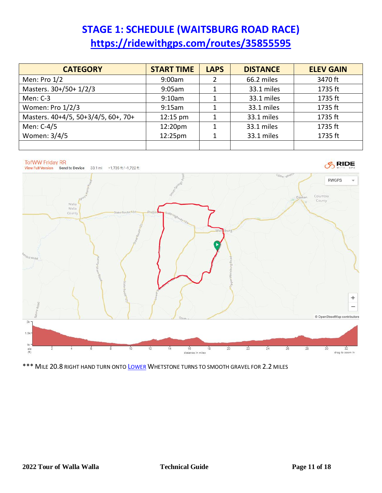# **STAGE 1: SCHEDULE (WAITSBURG ROAD RACE) <https://ridewithgps.com/routes/35855595>**

| <b>CATEGORY</b>                     | <b>START TIME</b> | <b>LAPS</b> | <b>DISTANCE</b> | <b>ELEV GAIN</b> |
|-------------------------------------|-------------------|-------------|-----------------|------------------|
| Men: Pro 1/2                        | 9:00am            |             | 66.2 miles      | 3470 ft          |
| Masters. 30+/50+ 1/2/3              | 9:05am            |             | 33.1 miles      | 1735 ft          |
| Men: C-3                            | 9:10am            |             | 33.1 miles      | 1735 ft          |
| Women: Pro 1/2/3                    | 9:15am            |             | 33.1 miles      | 1735 ft          |
| Masters. 40+4/5, 50+3/4/5, 60+, 70+ | $12:15$ pm        |             | 33.1 miles      | 1735 ft          |
| Men: C-4/5                          | 12:20pm           |             | 33.1 miles      | 1735 ft          |
| Women: 3/4/5                        | 12:25pm           |             | 33.1 miles      | 1735 ft          |
|                                     |                   |             |                 |                  |



\*\*\* MILE 20.8 RIGHT HAND TURN ONTO L[OWER](https://ridewithgps.com/routes/38442016) WHETSTONE TURNS TO SMOOTH GRAVEL FOR 2.2 MILES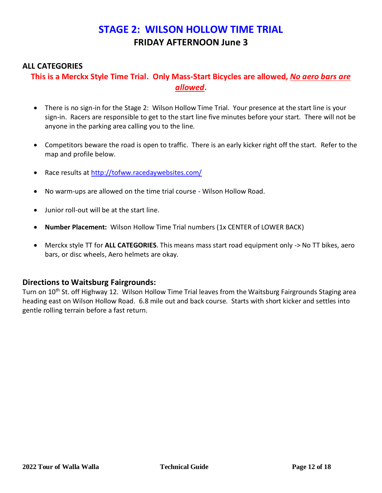### **STAGE 2: WILSON HOLLOW TIME TRIAL FRIDAY AFTERNOON June 3**

#### **ALL CATEGORIES**

### **This is a Merckx Style Time Trial. Only Mass-Start Bicycles are allowed,** *No aero bars are allowed***.**

- There is no sign-in for the Stage 2: Wilson Hollow Time Trial. Your presence at the start line is your sign-in. Racers are responsible to get to the start line five minutes before your start. There will not be anyone in the parking area calling you to the line.
- Competitors beware the road is open to traffic. There is an early kicker right off the start. Refer to the map and profile below.
- Race results at<http://tofww.racedaywebsites.com/>
- No warm-ups are allowed on the time trial course Wilson Hollow Road.
- Junior roll-out will be at the start line.
- **Number Placement:** Wilson Hollow Time Trial numbers (1x CENTER of LOWER BACK)
- Merckx style TT for **ALL CATEGORIES**. This means mass start road equipment only -> No TT bikes, aero bars, or disc wheels, Aero helmets are okay.

#### **Directions to Waitsburg Fairgrounds:**

Turn on 10<sup>th</sup> St. off Highway 12. Wilson Hollow Time Trial leaves from the Waitsburg Fairgrounds Staging area heading east on Wilson Hollow Road. 6.8 mile out and back course. Starts with short kicker and settles into gentle rolling terrain before a fast return.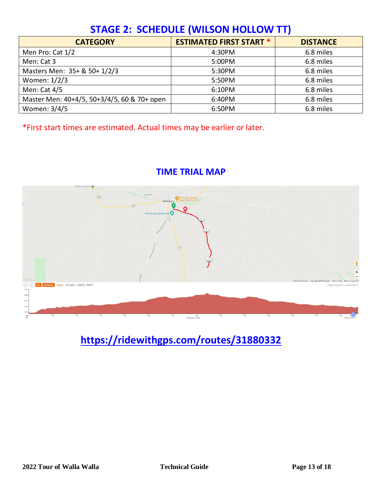# **STAGE 2: SCHEDULE (WILSON HOLLOW TT)**

| <b>CATEGORY</b>                             | <b>ESTIMATED FIRST START *</b> | <b>DISTANCE</b> |
|---------------------------------------------|--------------------------------|-----------------|
| Men Pro: Cat 1/2                            | 4:30PM                         | 6.8 miles       |
| Men: Cat 3                                  | 5:00PM                         | 6.8 miles       |
| Masters Men: 35+ & 50+ 1/2/3                | 5:30PM                         | 6.8 miles       |
| Women: 1/2/3                                | 5:50PM                         | 6.8 miles       |
| Men: Cat 4/5                                | 6:10PM                         | 6.8 miles       |
| Master Men: 40+4/5, 50+3/4/5, 60 & 70+ open | 6:40PM                         | 6.8 miles       |
| Women: 3/4/5                                | 6:50PM                         | 6.8 miles       |

\*First start times are estimated. Actual times may be earlier or later.





 **<https://ridewithgps.com/routes/31880332>**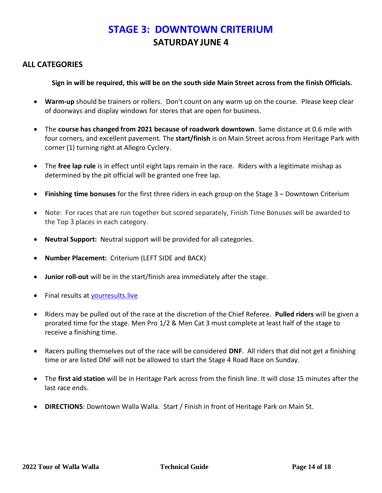## **STAGE 3: DOWNTOWN CRITERIUM SATURDAY JUNE 4**

#### **ALL CATEGORIES**

**Sign in will be required, this will be on the south side Main Street across from the finish Officials.**

- **Warm-up** should be trainers or rollers. Don't count on any warm up on the course. Please keep clear of doorways and display windows for stores that are open for business.
- The **course has changed from 2021 because of roadwork downtown**. Same distance at 0.6 mile with four corners, and excellent pavement. The **start/finish** is on Main Street across from Heritage Park with corner (1) turning right at Allegro Cyclery.
- The **free lap rule** is in effect until eight laps remain in the race. Riders with a legitimate mishap as determined by the pit official will be granted one free lap.
- **Finishing time bonuses** for the first three riders in each group on the Stage 3 Downtown Criterium
- Note: For races that are run together but scored separately, Finish Time Bonuses will be awarded to the Top 3 places in each category.
- **Neutral Support:** Neutral support will be provided for all categories.
- **Number Placement:** Criterium (LEFT SIDE and BACK)
- **Junior roll-out** will be in the start/finish area immediately after the stage.
- Final results a[t yourresults.live](http://tofww.racedaywebsites.com/)
- Riders may be pulled out of the race at the discretion of the Chief Referee. **Pulled riders** will be given a prorated time for the stage. Men Pro 1/2 & Men Cat 3 must complete at least half of the stage to receive a finishing time.
- Racers pulling themselves out of the race will be considered **DNF**. All riders that did not get a finishing time or are listed DNF will not be allowed to start the Stage 4 Road Race on Sunday.
- The **first aid station** will be in Heritage Park across from the finish line. It will close 15 minutes after the last race ends.
- **DIRECTIONS**: Downtown Walla Walla. Start / Finish in front of Heritage Park on Main St.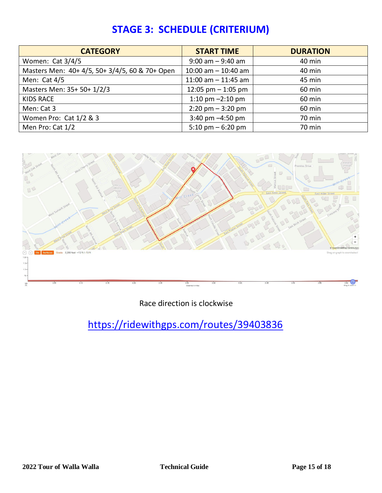| <b>CATEGORY</b>                                | <b>START TIME</b>                   | <b>DURATION</b> |  |
|------------------------------------------------|-------------------------------------|-----------------|--|
| Women: Cat 3/4/5                               | $9:00$ am $-9:40$ am                | 40 min          |  |
| Masters Men: 40+ 4/5, 50+ 3/4/5, 60 & 70+ Open | 10:00 am $-$ 10:40 am               | 40 min          |  |
| Men: Cat $4/5$                                 | 11:00 am $-$ 11:45 am               | 45 min          |  |
| Masters Men: 35+ 50+ 1/2/3                     | 12:05 pm $-$ 1:05 pm                | 60 min          |  |
| <b>KIDS RACE</b>                               | 1:10 pm $-2:10$ pm                  | 60 min          |  |
| Men: Cat 3                                     | $2:20 \text{ pm} - 3:20 \text{ pm}$ | 60 min          |  |
| Women Pro: Cat 1/2 & 3                         | 3:40 pm -4:50 pm                    | 70 min          |  |
| Men Pro: Cat 1/2                               | 5:10 pm $-$ 6:20 pm                 | 70 min          |  |

# **STAGE 3: SCHEDULE (CRITERIUM)**



Race direction is clockwise

<https://ridewithgps.com/routes/39403836>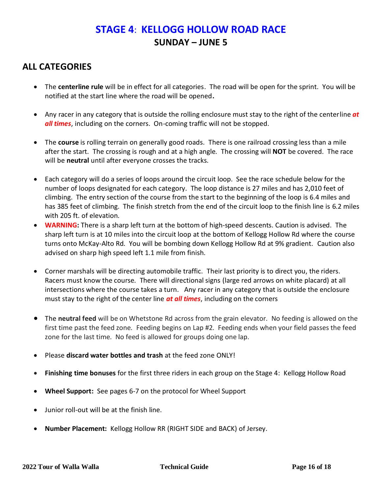## **STAGE 4**: **KELLOGG HOLLOW ROAD RACE SUNDAY – JUNE 5**

### **ALL CATEGORIES**

- The **centerline rule** will be in effect for all categories. The road will be open for the sprint. You will be notified at the start line where the road will be opened**.**
- Any racer in any category that is outside the rolling enclosure must stay to the right of the centerline *at all times*, including on the corners. On-coming traffic will not be stopped.
- The **course** is rolling terrain on generally good roads. There is one railroad crossing less than a mile after the start. The crossing is rough and at a high angle. The crossing will **NOT** be covered. The race will be **neutral** until after everyone crosses the tracks.
- Each category will do a series of loops around the circuit loop. See the race schedule below for the number of loops designated for each category. The loop distance is 27 miles and has 2,010 feet of climbing. The entry section of the course from the start to the beginning of the loop is 6.4 miles and has 385 feet of climbing. The finish stretch from the end of the circuit loop to the finish line is 6.2 miles with 205 ft. of elevation.
- **WARNING:** There is a sharp left turn at the bottom of high-speed descents. Caution is advised. The sharp left turn is at 10 miles into the circuit loop at the bottom of Kellogg Hollow Rd where the course turns onto McKay-Alto Rd. You will be bombing down Kellogg Hollow Rd at 9% gradient. Caution also advised on sharp high speed left 1.1 mile from finish.
- Corner marshals will be directing automobile traffic. Their last priority is to direct you, the riders. Racers must know the course. There will directional signs (large red arrows on white placard) at all intersections where the course takes a turn. Any racer in any category that is outside the enclosure must stay to the right of the center line *at all times*, including on the corners
- The **neutral feed** will be on Whetstone Rd across from the grain elevator. No feeding is allowed on the first time past the feed zone. Feeding begins on Lap #2. Feeding ends when your field passes the feed zone for the last time. No feed is allowed for groups doing one lap.
- Please **discard water bottles and trash** at the feed zone ONLY!
- **Finishing time bonuses** for the first three riders in each group on the Stage 4: Kellogg Hollow Road
- **Wheel Support:** See pages 6-7 on the protocol for Wheel Support
- Junior roll-out will be at the finish line.
- **Number Placement:** Kellogg Hollow RR (RIGHT SIDE and BACK) of Jersey.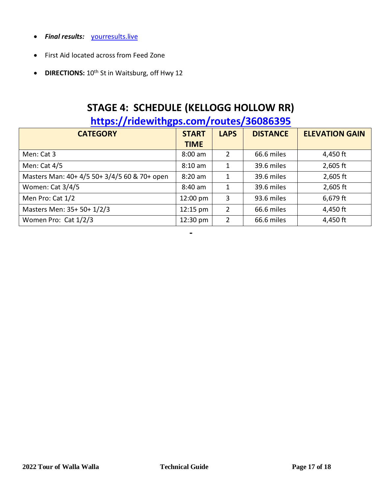- *Final results:* [yourresults.live](http://tofww.racedaywebsites.com/)
- First Aid located across from Feed Zone
- **DIRECTIONS:**  $10^{th}$  St in Waitsburg, off Hwy 12

# **STAGE 4: SCHEDULE (KELLOGG HOLLOW RR)**

## **<https://ridewithgps.com/routes/36086395>**

| <b>CATEGORY</b>                              | <b>START</b> | <b>LAPS</b>    | <b>DISTANCE</b> | <b>ELEVATION GAIN</b> |
|----------------------------------------------|--------------|----------------|-----------------|-----------------------|
|                                              | <b>TIME</b>  |                |                 |                       |
| Men: Cat 3                                   | $8:00$ am    | 2              | 66.6 miles      | 4,450 ft              |
| Men: Cat 4/5                                 | $8:10$ am    | $\mathbf{1}$   | 39.6 miles      | $2,605$ ft            |
| Masters Man: 40+ 4/5 50+ 3/4/5 60 & 70+ open | $8:20$ am    | $\mathbf{1}$   | 39.6 miles      | $2,605$ ft            |
| Women: Cat 3/4/5                             | $8:40$ am    | 1              | 39.6 miles      | $2,605$ ft            |
| Men Pro: Cat 1/2                             | 12:00 pm     | 3              | 93.6 miles      | $6,679$ ft            |
| Masters Men: 35+ 50+ 1/2/3                   | $12:15$ pm   | $\overline{2}$ | 66.6 miles      | 4,450 ft              |
| Women Pro: Cat 1/2/3                         | 12:30 pm     | $\overline{2}$ | 66.6 miles      | 4,450 ft              |

**-**